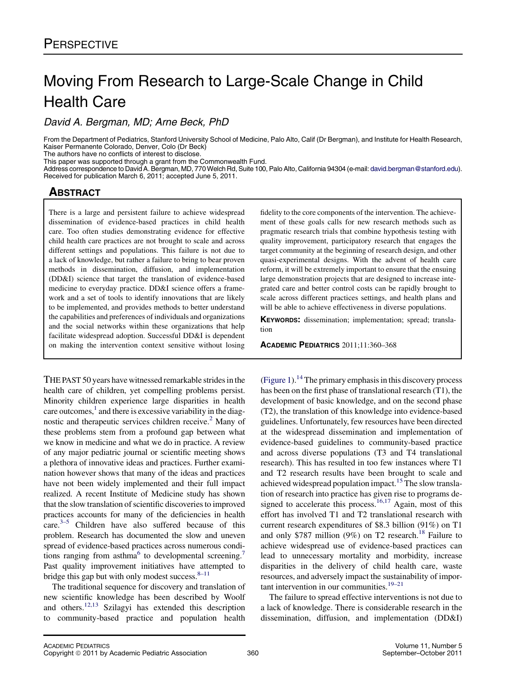## Moving From Research to Large-Scale Change in Child Health Care

David A. Bergman, MD; Arne Beck, PhD

From the Department of Pediatrics, Stanford University School of Medicine, Palo Alto, Calif (Dr Bergman), and Institute for Health Research, Kaiser Permanente Colorado, Denver, Colo (Dr Beck)

The authors have no conflicts of interest to disclose.

This paper was supported through a grant from the Commonwealth Fund.

Address correspondence to David A. Bergman, MD, 770Welch Rd, Suite 100, Palo Alto, California 94304 (e-mail: [david.bergman@stanford.edu\)](mailto:david.bergman@stanford.edu). Received for publication March 6, 2011; accepted June 5, 2011.

# <u>ABSOLUTE A CARDINAL C</u>

There is a large and persistent failure to achieve widespread dissemination of evidence-based practices in child health care. Too often studies demonstrating evidence for effective child health care practices are not brought to scale and across different settings and populations. This failure is not due to a lack of knowledge, but rather a failure to bring to bear proven methods in dissemination, diffusion, and implementation (DD&I) science that target the translation of evidence-based medicine to everyday practice. DD&I science offers a framework and a set of tools to identify innovations that are likely to be implemented, and provides methods to better understand the capabilities and preferences of individuals and organizations and the social networks within these organizations that help facilitate widespread adoption. Successful DD&I is dependent on making the intervention context sensitive without losing

THE PAST 50 years have witnessed remarkable strides in the health care of children, yet compelling problems persist. Minority children experience large disparities in health care outcomes, $<sup>1</sup>$  $<sup>1</sup>$  $<sup>1</sup>$  and there is excessive variability in the diag-</sup> nostic and therapeutic services children receive.<sup>2</sup> Many of these problems stem from a profound gap between what we know in medicine and what we do in practice. A review of any major pediatric journal or scientific meeting shows a plethora of innovative ideas and practices. Further examination however shows that many of the ideas and practices have not been widely implemented and their full impact realized. A recent Institute of Medicine study has shown that the slow translation of scientific discoveries to improved practices accounts for many of the deficiencies in health care. $3-5$  Children have also suffered because of this problem. Research has documented the slow and uneven spread of evidence-based practices across numerous condi-tions ranging from asthma<sup>[6](#page-6-0)</sup> to developmental screening.<sup>[7](#page-6-0)</sup> Past quality improvement initiatives have attempted to bridge this gap but with only modest success. $8-11$ 

The traditional sequence for discovery and translation of new scientific knowledge has been described by Woolf and others[.12,13](#page-6-0) Szilagyi has extended this description to community-based practice and population health fidelity to the core components of the intervention. The achievement of these goals calls for new research methods such as pragmatic research trials that combine hypothesis testing with quality improvement, participatory research that engages the target community at the beginning of research design, and other quasi-experimental designs. With the advent of health care reform, it will be extremely important to ensure that the ensuing large demonstration projects that are designed to increase integrated care and better control costs can be rapidly brought to scale across different practices settings, and health plans and will be able to achieve effectiveness in diverse populations.

KEYWORDS: dissemination; implementation; spread; translation

ACADEMIC PEDIATRICS 2011;11:360–368

([Figure 1](#page-1-0)).<sup>[14](#page-6-0)</sup> The primary emphasis in this discovery process has been on the first phase of translational research (T1), the development of basic knowledge, and on the second phase (T2), the translation of this knowledge into evidence-based guidelines. Unfortunately, few resources have been directed at the widespread dissemination and implementation of evidence-based guidelines to community-based practice and across diverse populations (T3 and T4 translational research). This has resulted in too few instances where T1 and T2 research results have been brought to scale and achieved widespread population impact.<sup>15</sup> The slow translation of research into practice has given rise to programs designed to accelerate this process.<sup>16,17</sup> Again, most of this effort has involved T1 and T2 translational research with current research expenditures of \$8.3 billion (91%) on T1 and only \$787 million  $(9\%)$  on T2 research.<sup>18</sup> Failure to achieve widespread use of evidence-based practices can lead to unnecessary mortality and morbidity, increase disparities in the delivery of child health care, waste resources, and adversely impact the sustainability of important intervention in our communities. $19-21$ 

The failure to spread effective interventions is not due to a lack of knowledge. There is considerable research in the dissemination, diffusion, and implementation (DD&I)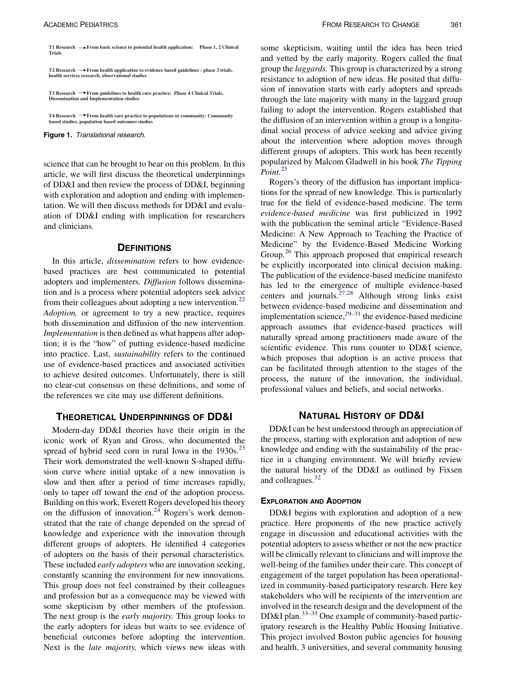<span id="page-1-0"></span>T2 Research  $\rightarrow$  From health application to evidence based guidelines : phase 3 trials, **health services research, observational studies** 

T3 Research → From guidelines to health care practice: Phase 4 Clinical Trials, **Dissemination and Implementation studies** 

**T4 Research From health care practice to populations or community: Community based studies, population based outcomes studies** 

Figure 1. Translational research.

science that can be brought to bear on this problem. In this article, we will first discuss the theoretical underpinnings of DD&I and then review the process of DD&I, beginning with exploration and adoption and ending with implementation. We will then discuss methods for DD&I and evaluation of DD&I ending with implication for researchers and clinicians.

In this article, *dissemination* refers to how evidencebased practices are best communicated to potential adopters and implementers. Diffusion follows dissemination and is a process where potential adopters seek advice from their colleagues about adopting a new intervention.<sup>[22](#page-7-0)</sup> Adoption, or agreement to try a new practice, requires both dissemination and diffusion of the new intervention. Implementation is then defined as what happens after adoption; it is the "how" of putting evidence-based medicine into practice. Last, sustainability refers to the continued use of evidence-based practices and associated activities to achieve desired outcomes. Unfortunately, there is still no clear-cut consensus on these definitions, and some of the references we cite may use different definitions.

Modern-day DD&I theories have their origin in the iconic work of Ryan and Gross, who documented the spread of hybrid seed corn in rural Iowa in the  $1930s$ .<sup>[23](#page-7-0)</sup> Their work demonstrated the well-known S-shaped diffusion curve where initial uptake of a new innovation is slow and then after a period of time increases rapidly, only to taper off toward the end of the adoption process. Building on this work, Everett Rogers developed his theory on the diffusion of innovation.<sup>[24](#page-7-0)</sup> Rogers's work demonstrated that the rate of change depended on the spread of knowledge and experience with the innovation through different groups of adopters. He identified 4 categories of adopters on the basis of their personal characteristics. These included *early adopters* who are innovation seeking, constantly scanning the environment for new innovations. This group does not feel constrained by their colleagues and profession but as a consequence may be viewed with some skepticism by other members of the profession. The next group is the *early majority*. This group looks to the early adopters for ideas but waits to see evidence of beneficial outcomes before adopting the intervention. Next is the *late majority*, which views new ideas with

some skepticism, waiting until the idea has been tried and vetted by the early majority. Rogers called the final group the *laggards*. This group is characterized by a strong resistance to adoption of new ideas. He posited that diffusion of innovation starts with early adopters and spreads through the late majority with many in the laggard group failing to adopt the intervention. Rogers established that the diffusion of an intervention within a group is a longitudinal social process of advice seeking and advice giving

about the intervention where adoption moves through different groups of adopters. This work has been recently popularized by Malcom Gladwell in his book The Tipping

Point.<sup>[25](#page-7-0)</sup> Rogers's theory of the diffusion has important implications for the spread of new knowledge. This is particularly true for the field of evidence-based medicine. The term evidence-based medicine was first publicized in 1992 with the publication the seminal article "Evidence-Based Medicine: A New Approach to Teaching the Practice of Medicine" by the Evidence-Based Medicine Working Group.<sup>[26](#page-7-0)</sup> This approach proposed that empirical research be explicitly incorporated into clinical decision making. The publication of the evidence-based medicine manifesto has led to the emergence of multiple evidence-based centers and journals. $27,28$  Although strong links exist between evidence-based medicine and dissemination and implementation science, $2^{9-31}$  the evidence-based medicine approach assumes that evidence-based practices will naturally spread among practitioners made aware of the scientific evidence. This runs counter to DD&I science, which proposes that adoption is an active process that can be facilitated through attention to the stages of the process, the nature of the innovation, the individual, professional values and beliefs, and social networks.

### **NATURAL HISTORY OF DD&I**

DD&I can be best understood through an appreciation of the process, starting with exploration and adoption of new knowledge and ending with the sustainability of the practice in a changing environment. We will briefly review the natural history of the DD&I as outlined by Fixsen and colleagues.<sup>[32](#page-7-0)</sup>

DD&I begins with exploration and adoption of a new practice. Here proponents of the new practice actively engage in discussion and educational activities with the potential adopters to assess whether or not the new practice will be clinically relevant to clinicians and will improve the well-being of the families under their care. This concept of engagement of the target population has been operationalized in community-based participatory research. Here key stakeholders who will be recipients of the intervention are involved in the research design and the development of the DD&I plan.<sup>33-35</sup> One example of community-based participatory research is the Healthy Public Housing Initiative. This project involved Boston public agencies for housing and health, 3 universities, and several community housing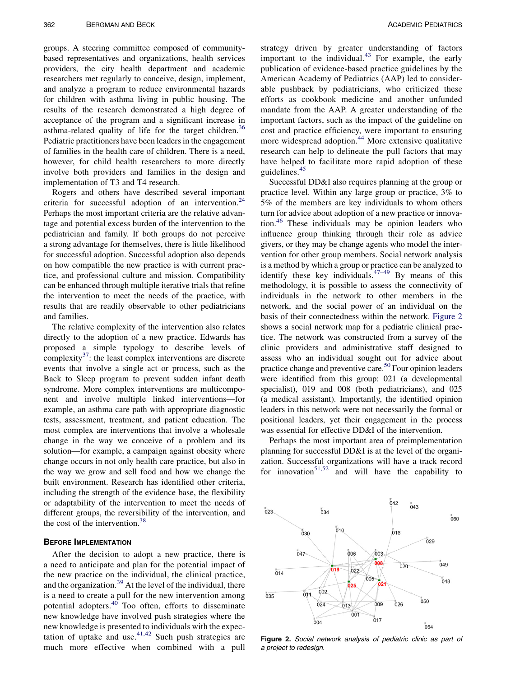groups. A steering committee composed of communitybased representatives and organizations, health services providers, the city health department and academic researchers met regularly to conceive, design, implement, and analyze a program to reduce environmental hazards for children with asthma living in public housing. The results of the research demonstrated a high degree of acceptance of the program and a significant increase in asthma-related quality of life for the target children.<sup>[36](#page-7-0)</sup> Pediatric practitioners have been leaders in the engagement of families in the health care of children. There is a need, however, for child health researchers to more directly involve both providers and families in the design and implementation of T3 and T4 research.

Rogers and others have described several important criteria for successful adoption of an intervention.<sup>[24](#page-7-0)</sup> Perhaps the most important criteria are the relative advantage and potential excess burden of the intervention to the pediatrician and family. If both groups do not perceive a strong advantage for themselves, there is little likelihood for successful adoption. Successful adoption also depends on how compatible the new practice is with current practice, and professional culture and mission. Compatibility can be enhanced through multiple iterative trials that refine the intervention to meet the needs of the practice, with results that are readily observable to other pediatricians and families.

The relative complexity of the intervention also relates directly to the adoption of a new practice. Edwards has proposed a simple typology to describe levels of complexity $3^7$ : the least complex interventions are discrete events that involve a single act or process, such as the Back to Sleep program to prevent sudden infant death syndrome. More complex interventions are multicomponent and involve multiple linked interventions—for example, an asthma care path with appropriate diagnostic tests, assessment, treatment, and patient education. The most complex are interventions that involve a wholesale change in the way we conceive of a problem and its solution—for example, a campaign against obesity where change occurs in not only health care practice, but also in the way we grow and sell food and how we change the built environment. Research has identified other criteria, including the strength of the evidence base, the flexibility or adaptability of the intervention to meet the needs of different groups, the reversibility of the intervention, and the cost of the intervention.<sup>[38](#page-7-0)</sup>

After the decision to adopt a new practice, there is a need to anticipate and plan for the potential impact of the new practice on the individual, the clinical practice, and the organization.<sup>[39](#page-7-0)</sup> At the level of the individual, there is a need to create a pull for the new intervention among potential adopters.<sup>[40](#page-7-0)</sup> Too often, efforts to disseminate new knowledge have involved push strategies where the new knowledge is presented to individuals with the expectation of uptake and use. $41,42$  Such push strategies are much more effective when combined with a pull

strategy driven by greater understanding of factors important to the individual. $43$  For example, the early publication of evidence-based practice guidelines by the American Academy of Pediatrics (AAP) led to considerable pushback by pediatricians, who criticized these efforts as cookbook medicine and another unfunded mandate from the AAP. A greater understanding of the important factors, such as the impact of the guideline on cost and practice efficiency, were important to ensuring more widespread adoption.<sup>[44](#page-7-0)</sup> More extensive qualitative research can help to delineate the pull factors that may have helped to facilitate more rapid adoption of these guidelines.<sup>[45](#page-7-0)</sup>

Successful DD&I also requires planning at the group or practice level. Within any large group or practice, 3% to 5% of the members are key individuals to whom others turn for advice about adoption of a new practice or innovation.[46](#page-7-0) These individuals may be opinion leaders who influence group thinking through their role as advice givers, or they may be change agents who model the intervention for other group members. Social network analysis is a method by which a group or practice can be analyzed to identify these key individuals. $47-49$  By means of this methodology, it is possible to assess the connectivity of individuals in the network to other members in the network, and the social power of an individual on the basis of their connectedness within the network. Figure 2 shows a social network map for a pediatric clinical practice. The network was constructed from a survey of the clinic providers and administrative staff designed to assess who an individual sought out for advice about practice change and preventive care.<sup>50</sup> Four opinion leaders were identified from this group: 021 (a developmental specialist), 019 and 008 (both pediatricians), and 025 (a medical assistant). Importantly, the identified opinion leaders in this network were not necessarily the formal or positional leaders, yet their engagement in the process was essential for effective DD&I of the intervention.

Perhaps the most important area of preimplementation planning for successful DD&I is at the level of the organization. Successful organizations will have a track record for innovation<sup>[51,52](#page-7-0)</sup> and will have the capability to



Figure 2. Social network analysis of pediatric clinic as part of a project to redesign.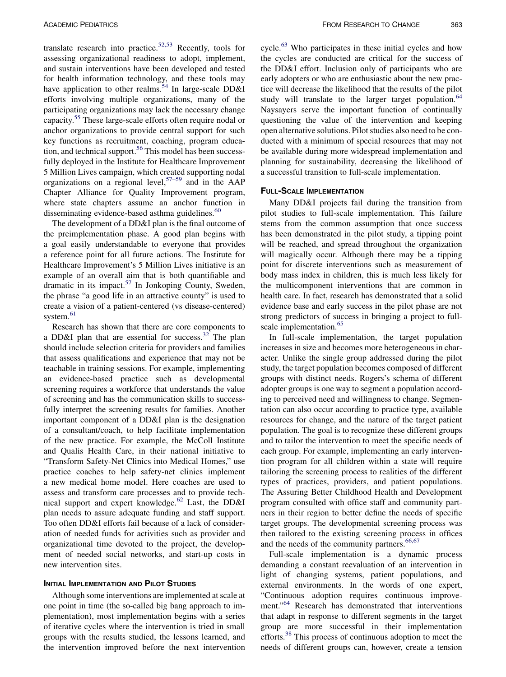translate research into practice.<sup>[52,53](#page-7-0)</sup> Recently, tools for assessing organizational readiness to adopt, implement, and sustain interventions have been developed and tested for health information technology, and these tools may have application to other realms.<sup>[54](#page-7-0)</sup> In large-scale DD&I efforts involving multiple organizations, many of the participating organizations may lack the necessary change capacity.<sup>[55](#page-7-0)</sup> These large-scale efforts often require nodal or anchor organizations to provide central support for such key functions as recruitment, coaching, program educa-tion, and technical support.<sup>[56](#page-7-0)</sup> This model has been successfully deployed in the Institute for Healthcare Improvement 5 Million Lives campaign, which created supporting nodal organizations on a regional level,  $57-59$  and in the AAP Chapter Alliance for Quality Improvement program, where state chapters assume an anchor function in disseminating evidence-based asthma guidelines.<sup>[60](#page-7-0)</sup>

The development of a DD&I plan is the final outcome of the preimplementation phase. A good plan begins with a goal easily understandable to everyone that provides a reference point for all future actions. The Institute for Healthcare Improvement's 5 Million Lives initiative is an example of an overall aim that is both quantifiable and dramatic in its impact. $57$  In Jonkoping County, Sweden, the phrase "a good life in an attractive county" is used to create a vision of a patient-centered (vs disease-centered) system. $61$ 

Research has shown that there are core components to a DD&I plan that are essential for success.  $32$  The plan should include selection criteria for providers and families that assess qualifications and experience that may not be teachable in training sessions. For example, implementing an evidence-based practice such as developmental screening requires a workforce that understands the value of screening and has the communication skills to successfully interpret the screening results for families. Another important component of a DD&I plan is the designation of a consultant/coach, to help facilitate implementation of the new practice. For example, the McColl Institute and Qualis Health Care, in their national initiative to "Transform Safety-Net Clinics into Medical Homes," use practice coaches to help safety-net clinics implement a new medical home model. Here coaches are used to assess and transform care processes and to provide tech-nical support and expert knowledge.<sup>[62](#page-7-0)</sup> Last, the DD&I plan needs to assure adequate funding and staff support. Too often DD&I efforts fail because of a lack of consideration of needed funds for activities such as provider and organizational time devoted to the project, the development of needed social networks, and start-up costs in new intervention sites.

### **INITIAL IMPLEMENTATION AND PILOT STUDIES**

Although some interventions are implemented at scale at one point in time (the so-called big bang approach to implementation), most implementation begins with a series of iterative cycles where the intervention is tried in small groups with the results studied, the lessons learned, and the intervention improved before the next intervention cycle.<sup>63</sup> Who participates in these initial cycles and how the cycles are conducted are critical for the success of the DD&I effort. Inclusion only of participants who are early adopters or who are enthusiastic about the new practice will decrease the likelihood that the results of the pilot study will translate to the larger target population.<sup>[64](#page-7-0)</sup> Naysayers serve the important function of continually questioning the value of the intervention and keeping open alternative solutions. Pilot studies also need to be conducted with a minimum of special resources that may not be available during more widespread implementation and planning for sustainability, decreasing the likelihood of a successful transition to full-scale implementation.

Many DD&I projects fail during the transition from pilot studies to full-scale implementation. This failure stems from the common assumption that once success has been demonstrated in the pilot study, a tipping point will be reached, and spread throughout the organization will magically occur. Although there may be a tipping point for discrete interventions such as measurement of body mass index in children, this is much less likely for the multicomponent interventions that are common in health care. In fact, research has demonstrated that a solid evidence base and early success in the pilot phase are not strong predictors of success in bringing a project to full-scale implementation.<sup>[65](#page-8-0)</sup>

In full-scale implementation, the target population increases in size and becomes more heterogeneous in character. Unlike the single group addressed during the pilot study, the target population becomes composed of different groups with distinct needs. Rogers's schema of different adopter groups is one way to segment a population according to perceived need and willingness to change. Segmentation can also occur according to practice type, available resources for change, and the nature of the target patient population. The goal is to recognize these different groups and to tailor the intervention to meet the specific needs of each group. For example, implementing an early intervention program for all children within a state will require tailoring the screening process to realities of the different types of practices, providers, and patient populations. The Assuring Better Childhood Health and Development program consulted with office staff and community partners in their region to better define the needs of specific target groups. The developmental screening process was then tailored to the existing screening process in offices and the needs of the community partners.<sup>[66,67](#page-8-0)</sup>

Full-scale implementation is a dynamic process demanding a constant reevaluation of an intervention in light of changing systems, patient populations, and external environments. In the words of one expert, "Continuous adoption requires continuous improve-ment."<sup>[64](#page-7-0)</sup> Research has demonstrated that interventions that adapt in response to different segments in the target group are more successful in their implementation efforts.<sup>[38](#page-7-0)</sup> This process of continuous adoption to meet the needs of different groups can, however, create a tension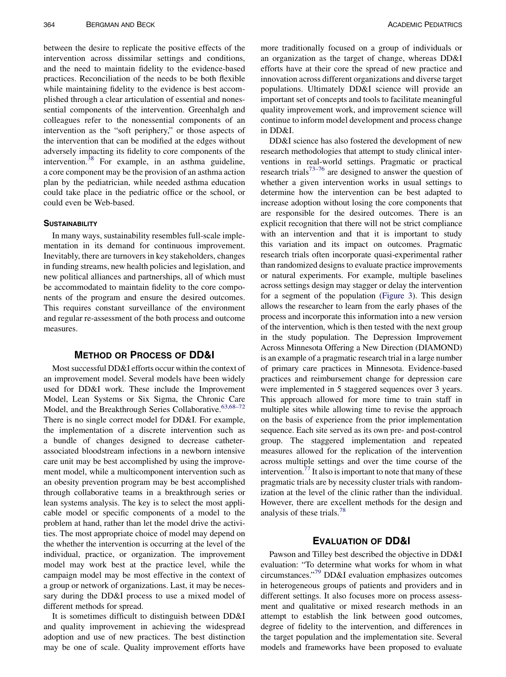between the desire to replicate the positive effects of the intervention across dissimilar settings and conditions, and the need to maintain fidelity to the evidence-based practices. Reconciliation of the needs to be both flexible while maintaining fidelity to the evidence is best accomplished through a clear articulation of essential and nonessential components of the intervention. Greenhalgh and colleagues refer to the nonessential components of an intervention as the "soft periphery," or those aspects of the intervention that can be modified at the edges without adversely impacting its fidelity to core components of the intervention.[38](#page-7-0) For example, in an asthma guideline, a core component may be the provision of an asthma action plan by the pediatrician, while needed asthma education could take place in the pediatric office or the school, or could even be Web-based.

### **SUSTAINABILITY**

In many ways, sustainability resembles full-scale implementation in its demand for continuous improvement. Inevitably, there are turnovers in key stakeholders, changes in funding streams, new health policies and legislation, and new political alliances and partnerships, all of which must be accommodated to maintain fidelity to the core components of the program and ensure the desired outcomes. This requires constant surveillance of the environment and regular re-assessment of the both process and outcome measures.

### **METHOD OR PROCESS OF DD&I**

Most successful DD&I efforts occur within the context of an improvement model. Several models have been widely used for DD&I work. These include the Improvement Model, Lean Systems or Six Sigma, the Chronic Care Model, and the Breakthrough Series Collaborative.<sup>[63,68–72](#page-7-0)</sup> There is no single correct model for DD&I. For example, the implementation of a discrete intervention such as a bundle of changes designed to decrease catheterassociated bloodstream infections in a newborn intensive care unit may be best accomplished by using the improvement model, while a multicomponent intervention such as an obesity prevention program may be best accomplished through collaborative teams in a breakthrough series or lean systems analysis. The key is to select the most applicable model or specific components of a model to the problem at hand, rather than let the model drive the activities. The most appropriate choice of model may depend on the whether the intervention is occurring at the level of the individual, practice, or organization. The improvement model may work best at the practice level, while the campaign model may be most effective in the context of a group or network of organizations. Last, it may be necessary during the DD&I process to use a mixed model of different methods for spread.

It is sometimes difficult to distinguish between DD&I and quality improvement in achieving the widespread adoption and use of new practices. The best distinction may be one of scale. Quality improvement efforts have

more traditionally focused on a group of individuals or an organization as the target of change, whereas DD&I efforts have at their core the spread of new practice and innovation across different organizations and diverse target populations. Ultimately DD&I science will provide an important set of concepts and tools to facilitate meaningful quality improvement work, and improvement science will continue to inform model development and process change in DD&I.

DD&I science has also fostered the development of new research methodologies that attempt to study clinical interventions in real-world settings. Pragmatic or practical research trials<sup>73–76</sup> are designed to answer the question of whether a given intervention works in usual settings to determine how the intervention can be best adapted to increase adoption without losing the core components that are responsible for the desired outcomes. There is an explicit recognition that there will not be strict compliance with an intervention and that it is important to study this variation and its impact on outcomes. Pragmatic research trials often incorporate quasi-experimental rather than randomized designs to evaluate practice improvements or natural experiments. For example, multiple baselines across settings design may stagger or delay the intervention for a segment of the population [\(Figure 3\)](#page-5-0). This design allows the researcher to learn from the early phases of the process and incorporate this information into a new version of the intervention, which is then tested with the next group in the study population. The Depression Improvement Across Minnesota Offering a New Direction (DIAMOND) is an example of a pragmatic research trial in a large number of primary care practices in Minnesota. Evidence-based practices and reimbursement change for depression care were implemented in 5 staggered sequences over 3 years. This approach allowed for more time to train staff in multiple sites while allowing time to revise the approach on the basis of experience from the prior implementation sequence. Each site served as its own pre- and post-control group. The staggered implementation and repeated measures allowed for the replication of the intervention across multiple settings and over the time course of the intervention.<sup>[77](#page-8-0)</sup> It also is important to note that many of these pragmatic trials are by necessity cluster trials with randomization at the level of the clinic rather than the individual. However, there are excellent methods for the design and analysis of these trials[.78](#page-8-0)

EVALUATION OF DD&I Pawson and Tilley best described the objective in DD&I evaluation: "To determine what works for whom in what circumstances."[79](#page-8-0) DD&I evaluation emphasizes outcomes in heterogeneous groups of patients and providers and in different settings. It also focuses more on process assessment and qualitative or mixed research methods in an attempt to establish the link between good outcomes, degree of fidelity to the intervention, and differences in the target population and the implementation site. Several models and frameworks have been proposed to evaluate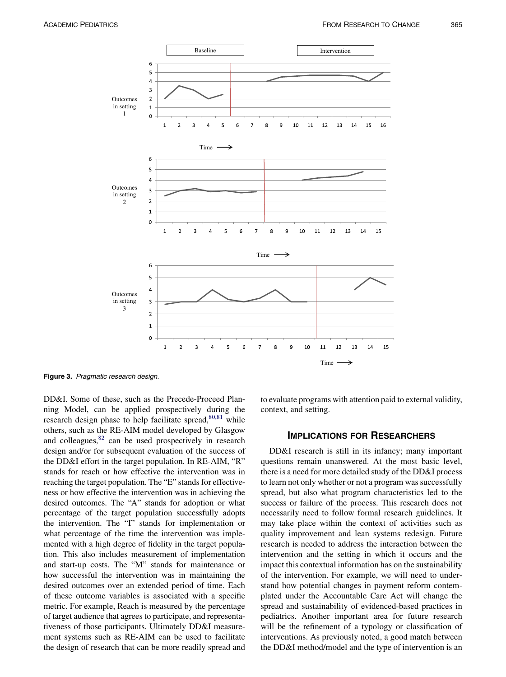<span id="page-5-0"></span>

Figure 3. Pragmatic research design.

DD&I. Some of these, such as the Precede-Proceed Planning Model, can be applied prospectively during the research design phase to help facilitate spread, [80,81](#page-8-0) while others, such as the RE-AIM model developed by Glasgow and colleagues,  $82$  can be used prospectively in research design and/or for subsequent evaluation of the success of the DD&I effort in the target population. In RE-AIM, "R" stands for reach or how effective the intervention was in reaching the target population. The "E" stands for effectiveness or how effective the intervention was in achieving the desired outcomes. The "A" stands for adoption or what percentage of the target population successfully adopts the intervention. The "I" stands for implementation or what percentage of the time the intervention was implemented with a high degree of fidelity in the target population. This also includes measurement of implementation and start-up costs. The "M" stands for maintenance or how successful the intervention was in maintaining the desired outcomes over an extended period of time. Each of these outcome variables is associated with a specific metric. For example, Reach is measured by the percentage of target audience that agrees to participate, and representativeness of those participants. Ultimately DD&I measurement systems such as RE-AIM can be used to facilitate the design of research that can be more readily spread and

to evaluate programs with attention paid to external validity, context, and setting.

DD&I research is still in its infancy; many important questions remain unanswered. At the most basic level, there is a need for more detailed study of the DD&I process to learn not only whether or not a program was successfully spread, but also what program characteristics led to the success or failure of the process. This research does not necessarily need to follow formal research guidelines. It may take place within the context of activities such as quality improvement and lean systems redesign. Future research is needed to address the interaction between the intervention and the setting in which it occurs and the impact this contextual information has on the sustainability of the intervention. For example, we will need to understand how potential changes in payment reform contemplated under the Accountable Care Act will change the spread and sustainability of evidenced-based practices in pediatrics. Another important area for future research will be the refinement of a typology or classification of interventions. As previously noted, a good match between the DD&I method/model and the type of intervention is an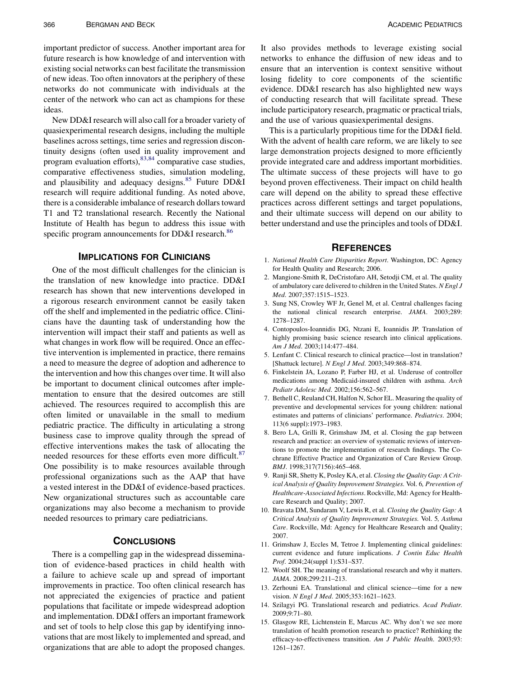<span id="page-6-0"></span>important predictor of success. Another important area for future research is how knowledge of and intervention with existing social networks can best facilitate the transmission of new ideas. Too often innovators at the periphery of these networks do not communicate with individuals at the center of the network who can act as champions for these ideas.

New DD&I research will also call for a broader variety of quasiexperimental research designs, including the multiple baselines across settings, time series and regression discontinuity designs (often used in quality improvement and program evaluation efforts), $83,84$  comparative case studies, comparative effectiveness studies, simulation modeling, and plausibility and adequacy designs.<sup>85</sup> Future DD&I research will require additional funding. As noted above, there is a considerable imbalance of research dollars toward T1 and T2 translational research. Recently the National Institute of Health has begun to address this issue with specific program announcements for DD&I research.<sup>86</sup>

### **IMPLICATIONS FOR CLINICIANS**

One of the most difficult challenges for the clinician is the translation of new knowledge into practice. DD&I research has shown that new interventions developed in a rigorous research environment cannot be easily taken off the shelf and implemented in the pediatric office. Clinicians have the daunting task of understanding how the intervention will impact their staff and patients as well as what changes in work flow will be required. Once an effective intervention is implemented in practice, there remains a need to measure the degree of adoption and adherence to the intervention and how this changes over time. It will also be important to document clinical outcomes after implementation to ensure that the desired outcomes are still achieved. The resources required to accomplish this are often limited or unavailable in the small to medium pediatric practice. The difficulty in articulating a strong business case to improve quality through the spread of effective interventions makes the task of allocating the needed resources for these efforts even more difficult.<sup>87</sup> One possibility is to make resources available through professional organizations such as the AAP that have a vested interest in the DD&I of evidence-based practices. New organizational structures such as accountable care organizations may also become a mechanism to provide needed resources to primary care pediatricians.

There is a compelling gap in the widespread dissemination of evidence-based practices in child health with a failure to achieve scale up and spread of important improvements in practice. Too often clinical research has not appreciated the exigencies of practice and patient populations that facilitate or impede widespread adoption and implementation. DD&I offers an important framework and set of tools to help close this gap by identifying innovations that are most likely to implemented and spread, and organizations that are able to adopt the proposed changes.

It also provides methods to leverage existing social networks to enhance the diffusion of new ideas and to ensure that an intervention is context sensitive without losing fidelity to core components of the scientific evidence. DD&I research has also highlighted new ways of conducting research that will facilitate spread. These include participatory research, pragmatic or practical trials, and the use of various quasiexperimental designs.

This is a particularly propitious time for the DD&I field. With the advent of health care reform, we are likely to see large demonstration projects designed to more efficiently provide integrated care and address important morbidities. The ultimate success of these projects will have to go beyond proven effectiveness. Their impact on child health care will depend on the ability to spread these effective practices across different settings and target populations, and their ultimate success will depend on our ability to better understand and use the principles and tools of DD&I.

- 1. National Health Care Disparities Report. Washington, DC: Agency for Health Quality and Research; 2006.
- 2. Mangione-Smith R, DeCristofaro AH, Setodji CM, et al. The quality of ambulatory care delivered to children in the United States. N Engl J Med. 2007;357:1515–1523.
- 3. Sung NS, Crowley WF Jr, Genel M, et al. Central challenges facing the national clinical research enterprise. JAMA. 2003;289: 1278–1287.
- 4. Contopoulos-Ioannidis DG, Ntzani E, Ioannidis JP. Translation of highly promising basic science research into clinical applications. Am J Med. 2003;114:477–484.
- 5. Lenfant C. Clinical research to clinical practice—lost in translation? [Shattuck lecture]. N Engl J Med. 2003;349:868-874.
- 6. Finkelstein JA, Lozano P, Farber HJ, et al. Underuse of controller medications among Medicaid-insured children with asthma. Arch Pediatr Adolesc Med. 2002;156:562–567.
- 7. Bethell C, Reuland CH, Halfon N, Schor EL. Measuring the quality of preventive and developmental services for young children: national estimates and patterns of clinicians' performance. Pediatrics. 2004; 113(6 suppl):1973–1983.
- 8. Bero LA, Grilli R, Grimshaw JM, et al. Closing the gap between research and practice: an overview of systematic reviews of interventions to promote the implementation of research findings. The Cochrane Effective Practice and Organization of Care Review Group. BMJ. 1998;317(7156):465–468.
- 9. Ranji SR, Shetty K, Posley KA, et al. Closing the Quality Gap: A Critical Analysis of Quality Improvement Strategies. Vol. 6, Prevention of Healthcare-Associated Infections. Rockville, Md: Agency for Healthcare Research and Quality; 2007.
- 10. Bravata DM, Sundaram V, Lewis R, et al. Closing the Quality Gap: A Critical Analysis of Quality Improvement Strategies. Vol. 5, Asthma Care. Rockville, Md: Agency for Healthcare Research and Quality; 2007.
- 11. Grimshaw J, Eccles M, Tetroe J. Implementing clinical guidelines: current evidence and future implications. J Contin Educ Health Prof. 2004;24(suppl 1):S31–S37.
- 12. Woolf SH. The meaning of translational research and why it matters. JAMA. 2008;299:211–213.
- 13. Zerhouni EA. Translational and clinical science—time for a new vision. N Engl J Med. 2005;353:1621–1623.
- 14. Szilagyi PG. Translational research and pediatrics. Acad Pediatr. 2009;9:71–80.
- 15. Glasgow RE, Lichtenstein E, Marcus AC. Why don't we see more translation of health promotion research to practice? Rethinking the efficacy-to-effectiveness transition. Am J Public Health. 2003;93: 1261–1267.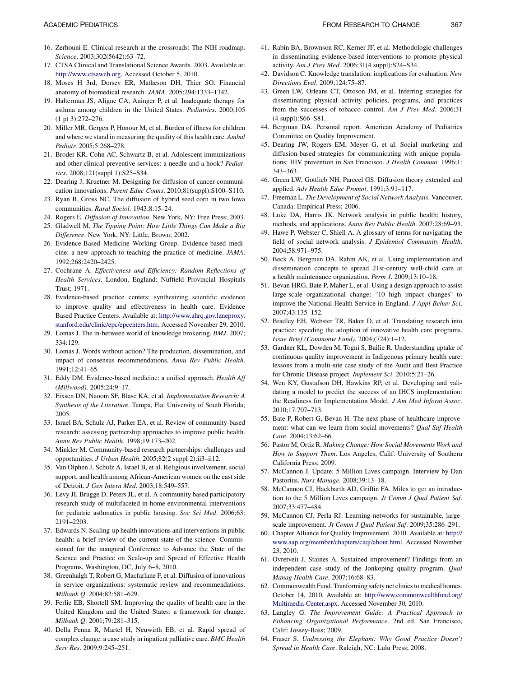- <span id="page-7-0"></span>16. Zerhouni E. Clinical research at the crossroads: The NIH roadmap. Science. 2003;302(5642):63–72.
- 17. CTSA Clinical and Translational Science Awards. 2003. Available at: [http://www.ctsaweb.org.](http://www.ctsaweb.org) Accessed October 5, 2010.
- 18. Moses H 3rd, Dorsey ER, Matheson DH, Thier SO. Financial anatomy of biomedical research. JAMA. 2005;294:1333–1342.
- 19. Halterman JS, Aligne CA, Auinger P, et al. Inadequate therapy for asthma among children in the United States. Pediatrics. 2000;105 (1 pt 3):272–276.
- 20. Miller MR, Gergen P, Honour M, et al. Burden of illness for children and where we stand in measuring the quality of this health care. Ambul Pediatr. 2005;5:268–278.
- 21. Broder KR, Cohn AC, Schwartz B, et al. Adolescent immunizations and other clinical preventive services: a needle and a hook? Pediatrics. 2008;121(suppl 1):S25–S34.
- 22. Dearing J, Kruetner M. Designing for diffusion of cancer communication innovations. Parent Educ Couns. 2010;81(suppl):S100–S110.
- 23. Ryan B, Gross NC. The diffusion of hybrid seed corn in two Iowa communities. Rural Sociol. 1943;8:15–24.
- 24. Rogers E. Diffusion of Innovation. New York, NY: Free Press; 2003.
- 25. Gladwell M. The Tipping Point: How Little Things Can Make a Big Difference. New York, NY: Little, Brown; 2002.
- 26. Evidence-Based Medicine Working Group. Evidence-based medicine: a new approach to teaching the practice of medicine. JAMA. 1992;268:2420–2425.
- 27. Cochrane A. Effectiveness and Efficiency: Random Reflections of Health Services. London, England: Nuffield Provincial Hospitals Trust; 1971.
- 28. Evidence-based practice centers: synthesizing scientific evidence to improve quality and effectiveness in health care. Evidence Based Practice Centers. Available at: [http://www.ahrq.gov.laneproxy.](http://www.ahrq.gov.laneproxy.stanford.edu/clinic/epc/epcenters.htm) [stanford.edu/clinic/epc/epcenters.htm](http://www.ahrq.gov.laneproxy.stanford.edu/clinic/epc/epcenters.htm). Accessed November 29, 2010.
- 29. Lomas J. The in-between world of knowledge brokering. BMJ. 2007; 334:129.
- 30. Lomas J. Words without action? The production, dissemination, and impact of consensus recommendations. Annu Rev Public Health. 1991;12:41–65.
- 31. Eddy DM. Evidence-based medicine: a unified approach. Health Aff (Millwood). 2005;24:9–17.
- 32. Fixsen DN, Naoom SF, Blase KA, et al. Implementation Research: A Synthesis of the Literature. Tampa, Fla: University of South Florida; 2005.
- 33. Israel BA, Schulz AJ, Parker EA, et al. Review of community-based research: assessing partnership approaches to improve public health. Annu Rev Public Health. 1998;19:173–202.
- 34. Minkler M. Community-based research partnerships: challenges and opportunities. J Urban Health. 2005;82(2 suppl 2):ii3–ii12.
- 35. Van Olphen J, Schulz A, Israel B, et al. Religious involvement, social support, and health among African-American women on the east side of Detroit. J Gen Intern Med. 2003;18:549–557.
- 36. Levy JI, Brugge D, Peters JL, et al. A community based participatory research study of multifaceted in-home environmental interventions for pediatric asthmatics in public housing. Soc Sci Med. 2006;63: 2191–2203.
- 37. Edwards N. Scaling-up health innovations and interventions in public health: a brief review of the current state-of-the-science. Commissioned for the inaugural Conference to Advance the State of the Science and Practice on Scale-up and Spread of Effective Health Programs, Washington, DC, July 6–8, 2010.
- 38. Greenhalgh T, Robert G, Macfarlane F, et al. Diffusion of innovations in service organizations: systematic review and recommendations. Milbank Q. 2004;82:581–629.
- 39. Ferlie EB, Shortell SM. Improving the quality of health care in the United Kingdom and the United States: a framework for change. Milbank Q. 2001;79:281–315.
- 40. Della Penna R, Martel H, Neuwirth EB, et al. Rapid spread of complex change: a case study in inpatient palliative care. BMC Health Serv Res. 2009;9:245–251.
- 41. Rabin BA, Brownson RC, Kerner JF, et al. Methodologic challenges in disseminating evidence-based interventions to promote physical activity. Am J Prev Med. 2006;31(4 suppl):S24–S34.
- 42. Davidson C. Knowledge translation: implications for evaluation. New Directions Eval. 2009;124:75–87.
- 43. Green LW, Orleans CT, Ottoson JM, et al. Inferring strategies for disseminating physical activity policies, programs, and practices from the successes of tobacco control. Am J Prev Med. 2006;31 (4 suppl):S66–S81.
- 44. Bergman DA. Personal report. American Academy of Pediatrics Committee on Quality Improvement.
- 45. Dearing JW, Rogers EM, Meyer G, et al. Social marketing and diffusion-based strategies for communicating with unique populations: HIV prevention in San Francisco. J Health Commun. 1996;1: 343–363.
- 46. Green LW, Gottlieb NH, Parecel GS. Diffusion theory extended and applied. Adv Health Educ Promot. 1991;3:91–117.
- 47. Freeman L. The Development of Social Network Analysis. Vancouver, Canada: Empirical Press; 2006.
- 48. Luke DA, Harris JK. Network analysis in public health: history, methods, and applications. Annu Rev Public Health. 2007;28:69–93.
- 49. Hawe P, Webster C, Shiell A. A glossary of terms for navigating the field of social network analysis. J Epidemiol Community Health. 2004;58:971–975.
- 50. Beck A, Bergman DA, Rahm AK, et al. Using implementation and dissemination concepts to spread 21st-century well-child care at a health maintenance organization. Perm J. 2009;13:10–18.
- 51. Bevan HRG, Bate P, Maher L, et al. Using a design approach to assist large-scale organizational change: "10 high impact changes" to improve the National Health Service in England. J Appl Behav Sci. 2007;43:135–152.
- 52. Bradley EH, Webster TR, Baker D, et al. Translating research into practice: speeding the adoption of innovative health care programs. Issue Brief (Commonw Fund). 2004;(724):1–12.
- 53. Gardner KL, Dowden M, Togni S, Bailie R. Understanding uptake of continuous quality improvement in Indigenous primary health care: lessons from a multi-site case study of the Audit and Best Practice for Chronic Disease project. Implement Sci. 2010;5:21–26.
- 54. Wen KY, Gustafson DH, Hawkins RP, et al. Developing and validating a model to predict the success of an IHCS implementation: the Readiness for Implementation Model. J Am Med Inform Assoc. 2010;17:707–713.
- 55. Bate P, Robert G, Bevan H. The next phase of healthcare improvement: what can we learn from social movements? Qual Saf Health  $Care 2004:13:62-66$
- 56. Pastor M, Ortiz R. Making Change: How Social Movements Work and How to Support Them. Los Angeles, Calif: University of Southern California Press; 2009.
- 57. McCannon J. Update: 5 Million Lives campaign. Interview by Dan Pastorius. Nurs Manage. 2008;39:13–18.
- 58. McCannon CJ, Hackbarth AD, Griffin FA. Miles to go: an introduction to the 5 Million Lives campaign. Jt Comm J Qual Patient Saf. 2007;33:477–484.
- 59. McCannon CJ, Perla RJ. Learning networks for sustainable, largescale improvement. Jt Comm J Qual Patient Saf. 2009;35:286-291.
- 60. Chapter Alliance for Quality Improvement. 2010. Available at: [http://](http://www.aap.org/member/chapters/caqi/about.html) [www.aap.org/member/chapters/caqi/about.html](http://www.aap.org/member/chapters/caqi/about.html). Accessed November 23, 2010.
- 61. Ovretveit J, Staines A. Sustained improvement? Findings from an independent case study of the Jonkoping quality program. Qual Manag Health Care. 2007;16:68–83.
- 62. Commonwealth Fund. Tranforming safety net clinics to medical homes. October 14, 2010. Available at: [http://www.commonwealthfund.org/](http://www.commonwealthfund.org/Multimedia-Center.aspx) [Multimedia-Center.aspx](http://www.commonwealthfund.org/Multimedia-Center.aspx). Accessed November 30, 2010.
- 63. Langley G. The Improvement Guide: A Practical Approach to Enhancing Organizational Performance. 2nd ed. San Francisco, Calif: Jossey-Bass; 2009.
- 64. Fraser S. Undressing the Elephant: Why Good Practice Doesn't Spread in Health Care. Raleigh, NC: Lulu Press; 2008.